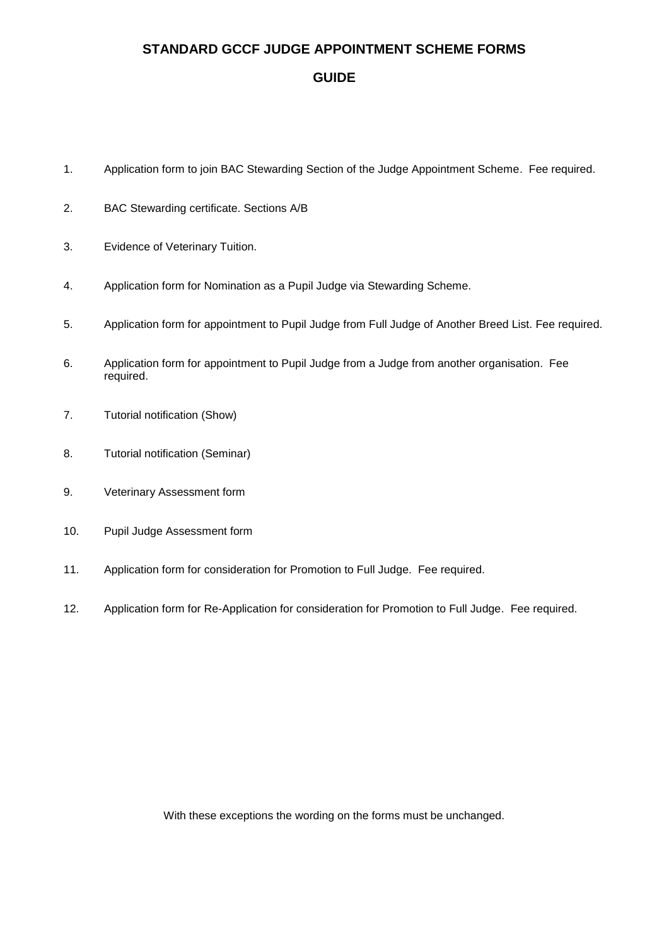### **STANDARD GCCF JUDGE APPOINTMENT SCHEME FORMS**

#### **GUIDE**

- 1. Application form to join BAC Stewarding Section of the Judge Appointment Scheme. Fee required.
- 2. BAC Stewarding certificate. Sections A/B
- 3. Evidence of Veterinary Tuition.
- 4. Application form for Nomination as a Pupil Judge via Stewarding Scheme.
- 5. Application form for appointment to Pupil Judge from Full Judge of Another Breed List. Fee required.
- 6. Application form for appointment to Pupil Judge from a Judge from another organisation. Fee required.
- 7. Tutorial notification (Show)
- 8. Tutorial notification (Seminar)
- 9. Veterinary Assessment form
- 10. Pupil Judge Assessment form
- 11. Application form for consideration for Promotion to Full Judge. Fee required.
- 12. Application form for Re-Application for consideration for Promotion to Full Judge. Fee required.

With these exceptions the wording on the forms must be unchanged.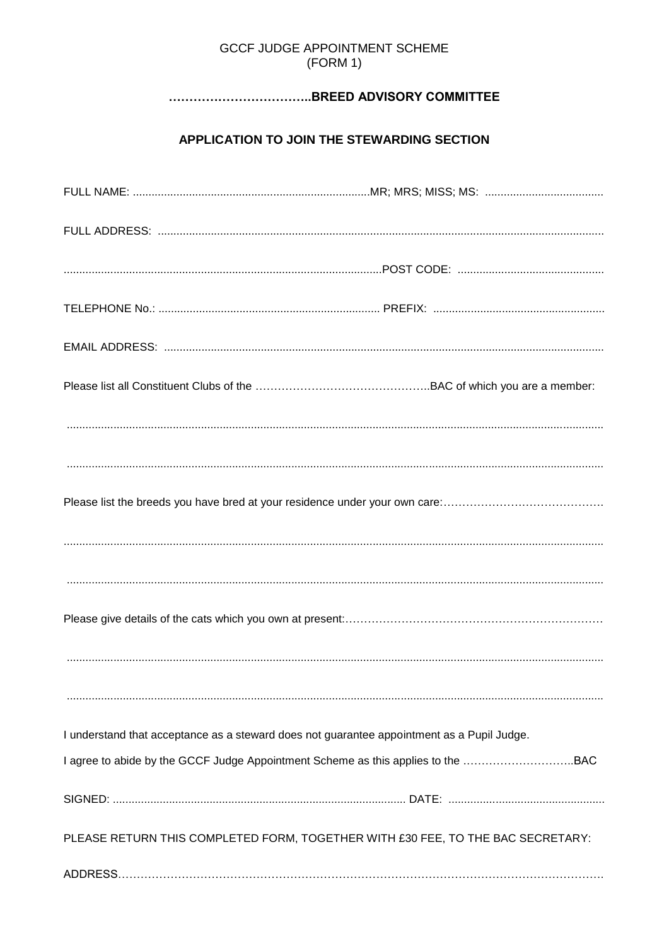### **GCCF JUDGE APPOINTMENT SCHEME** (FORM 1)

# 

# APPLICATION TO JOIN THE STEWARDING SECTION

| I understand that acceptance as a steward does not guarantee appointment as a Pupil Judge. |
|--------------------------------------------------------------------------------------------|
| I agree to abide by the GCCF Judge Appointment Scheme as this applies to the BAC           |
|                                                                                            |
| PLEASE RETURN THIS COMPLETED FORM, TOGETHER WITH £30 FEE, TO THE BAC SECRETARY:            |
|                                                                                            |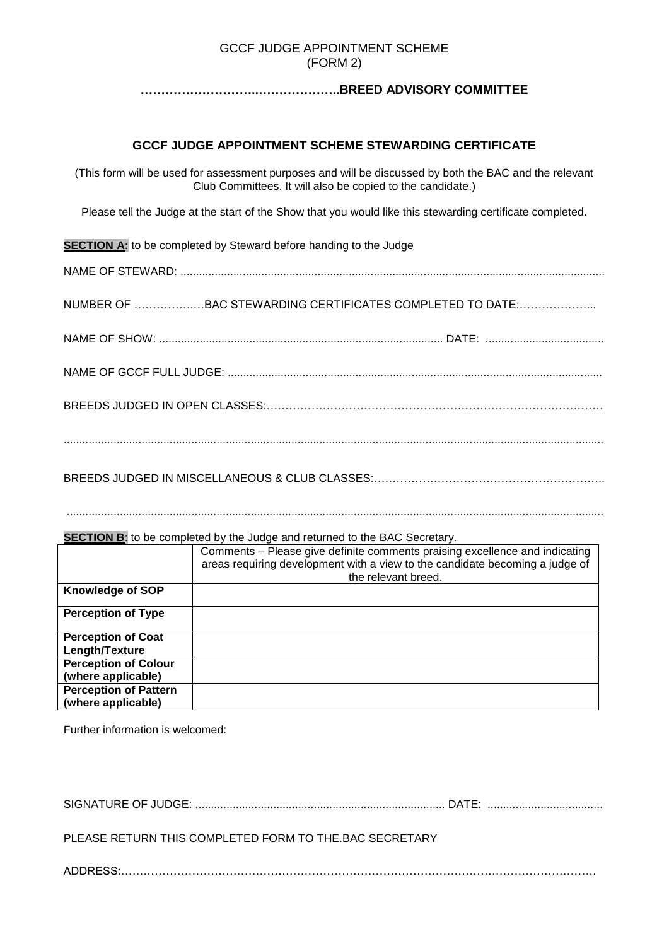#### GCCF JUDGE APPOINTMENT SCHEME (FORM 2)

#### **………………………..………………..BREED ADVISORY COMMITTEE**

#### **GCCF JUDGE APPOINTMENT SCHEME STEWARDING CERTIFICATE**

(This form will be used for assessment purposes and will be discussed by both the BAC and the relevant Club Committees. It will also be copied to the candidate.)

Please tell the Judge at the start of the Show that you would like this stewarding certificate completed.

**SECTION A:** to be completed by Steward before handing to the Judge

NAME OF STEWARD: ........................................................................................................................................

NUMBER OF …………….…BAC STEWARDING CERTIFICATES COMPLETED TO DATE:………………...

NAME OF SHOW: ........................................................................................... DATE: ......................................

NAME OF GCCF FULL JUDGE: ........................................................................................................................

BREEDS JUDGED IN OPEN CLASSES:………………………………………………………………………………

.............................................................................................................................................................................

BREEDS JUDGED IN MISCELLANEOUS & CLUB CLASSES:……………………………………………………..

............................................................................................................................................................................

#### **SECTION B:** to be completed by the Judge and returned to the BAC Secretary.

|                              | Comments - Please give definite comments praising excellence and indicating<br>areas requiring development with a view to the candidate becoming a judge of<br>the relevant breed. |
|------------------------------|------------------------------------------------------------------------------------------------------------------------------------------------------------------------------------|
| <b>Knowledge of SOP</b>      |                                                                                                                                                                                    |
| <b>Perception of Type</b>    |                                                                                                                                                                                    |
| <b>Perception of Coat</b>    |                                                                                                                                                                                    |
| Length/Texture               |                                                                                                                                                                                    |
| <b>Perception of Colour</b>  |                                                                                                                                                                                    |
| (where applicable)           |                                                                                                                                                                                    |
| <b>Perception of Pattern</b> |                                                                                                                                                                                    |
| (where applicable)           |                                                                                                                                                                                    |

Further information is welcomed:

SIGNATURE OF JUDGE: ................................................................................ DATE: .....................................

PLEASE RETURN THIS COMPLETED FORM TO THE.BAC SECRETARY

ADDRESS:……………………………………………………………………………………………………………….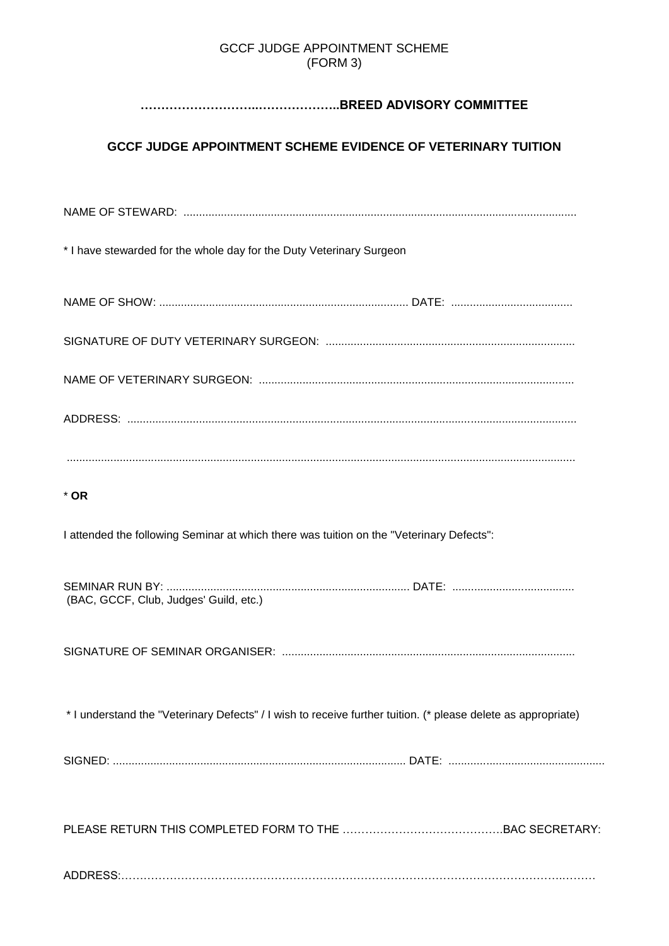### GCCF JUDGE APPOINTMENT SCHEME (FORM 3)

# **………………………..………………..BREED ADVISORY COMMITTEE**

# **GCCF JUDGE APPOINTMENT SCHEME EVIDENCE OF VETERINARY TUITION**

NAME OF STEWARD: .............................................................................................................................. \* I have stewarded for the whole day for the Duty Veterinary Surgeon NAME OF SHOW: ................................................................................ DATE: ....................................... SIGNATURE OF DUTY VETERINARY SURGEON: ................................................................................ NAME OF VETERINARY SURGEON: ..................................................................................................... ADDRESS: ................................................................................................................................................ ................................................................................................................................................................... \* **OR** I attended the following Seminar at which there was tuition on the "Veterinary Defects": SEMINAR RUN BY: .............................................................................. DATE: ....................................... (BAC, GCCF, Club, Judges' Guild, etc.) SIGNATURE OF SEMINAR ORGANISER: .............................................................................................. \* I understand the "Veterinary Defects" / I wish to receive further tuition. (\* please delete as appropriate) SIGNED: .............................................................................................. DATE: .................................................. PLEASE RETURN THIS COMPLETED FORM TO THE …………………………………….BAC SECRETARY: ADDRESS:……………………………………………………………………………………………………….………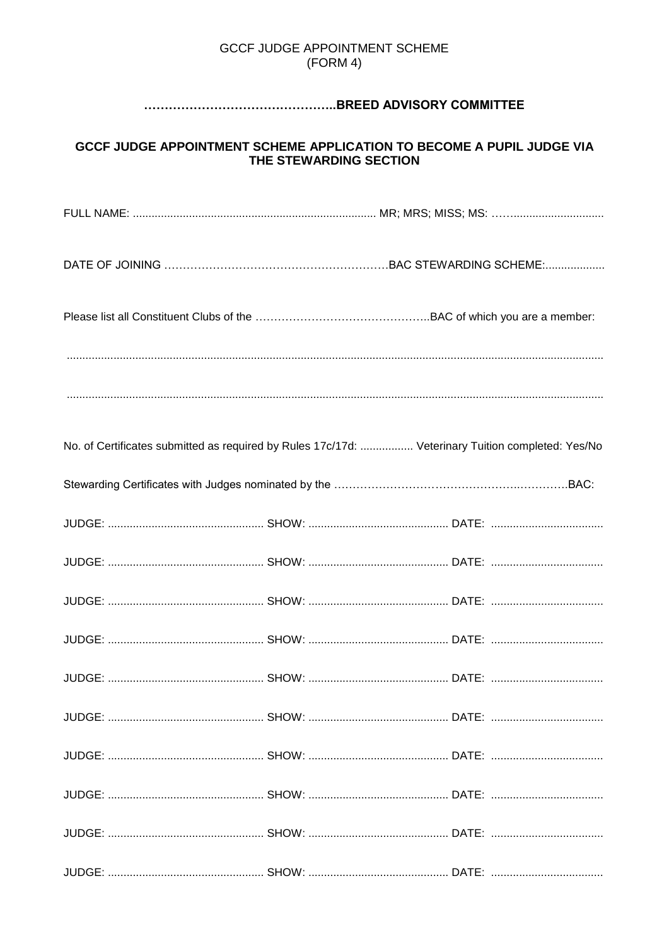### **GCCF JUDGE APPOINTMENT SCHEME**  $(FORM 4)$

## 

# **GCCF JUDGE APPOINTMENT SCHEME APPLICATION TO BECOME A PUPIL JUDGE VIA** THE STEWARDING SECTION

|  |  | No. of Certificates submitted as required by Rules 17c/17d:  Veterinary Tuition completed: Yes/No |  |
|--|--|---------------------------------------------------------------------------------------------------|--|
|  |  |                                                                                                   |  |

|--|--|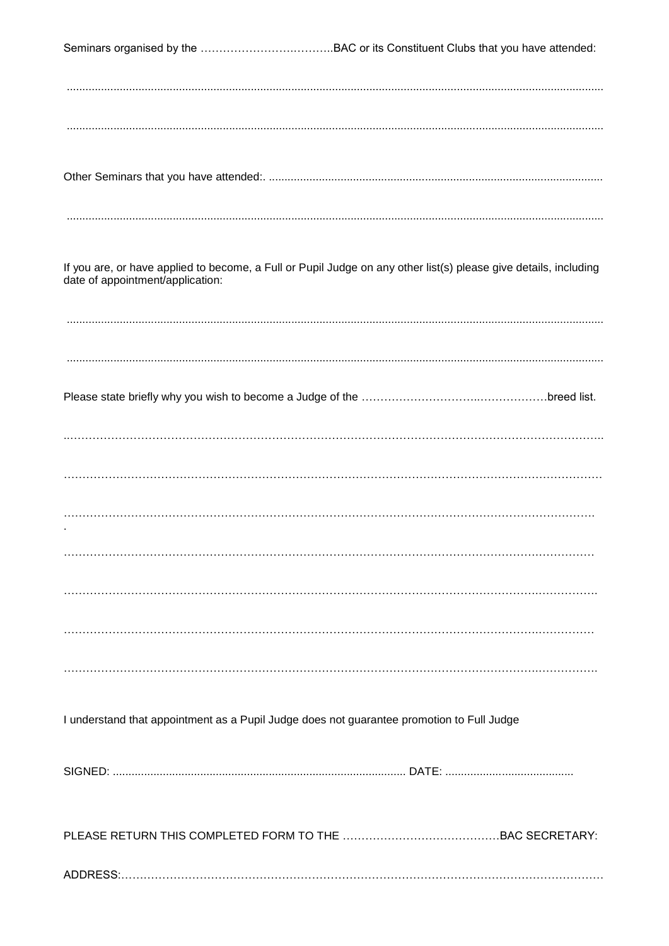If you are, or have applied to become, a Full or Pupil Judge on any other list(s) please give details, including date of appointment/application:

I understand that appointment as a Pupil Judge does not quarantee promotion to Full Judge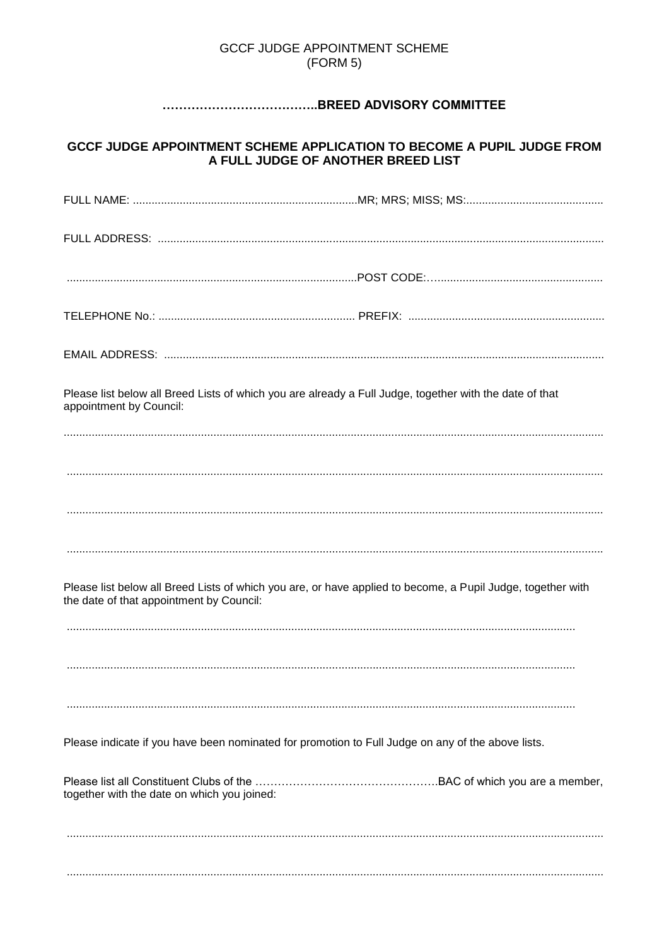### **GCCF JUDGE APPOINTMENT SCHEME** (FORM 5)

# 

# GCCF JUDGE APPOINTMENT SCHEME APPLICATION TO BECOME A PUPIL JUDGE FROM A FULL JUDGE OF ANOTHER BREED LIST

| Please list below all Breed Lists of which you are already a Full Judge, together with the date of that<br>appointment by Council:                      |  |
|---------------------------------------------------------------------------------------------------------------------------------------------------------|--|
|                                                                                                                                                         |  |
|                                                                                                                                                         |  |
|                                                                                                                                                         |  |
| Please list below all Breed Lists of which you are, or have applied to become, a Pupil Judge, together with<br>the date of that appointment by Council: |  |
|                                                                                                                                                         |  |
|                                                                                                                                                         |  |
| Please indicate if you have been nominated for promotion to Full Judge on any of the above lists.                                                       |  |
| together with the date on which you joined:                                                                                                             |  |
|                                                                                                                                                         |  |
|                                                                                                                                                         |  |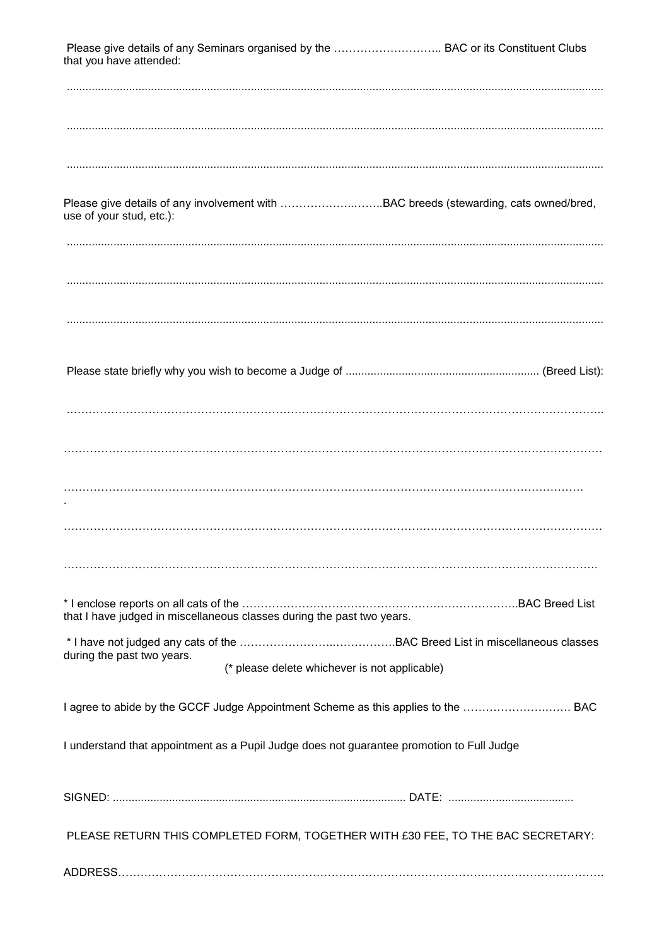| that you have attended:                                                                   |                                               | Please give details of any Seminars organised by the  BAC or its Constituent Clubs   |
|-------------------------------------------------------------------------------------------|-----------------------------------------------|--------------------------------------------------------------------------------------|
|                                                                                           |                                               |                                                                                      |
|                                                                                           |                                               |                                                                                      |
| use of your stud, etc.):                                                                  |                                               | Please give details of any involvement with BAC breeds (stewarding, cats owned/bred, |
|                                                                                           |                                               |                                                                                      |
|                                                                                           |                                               |                                                                                      |
|                                                                                           |                                               |                                                                                      |
|                                                                                           |                                               |                                                                                      |
|                                                                                           |                                               |                                                                                      |
|                                                                                           |                                               |                                                                                      |
|                                                                                           |                                               |                                                                                      |
| that I have judged in miscellaneous classes during the past two years.                    |                                               |                                                                                      |
| during the past two years.                                                                | (* please delete whichever is not applicable) |                                                                                      |
|                                                                                           |                                               | I agree to abide by the GCCF Judge Appointment Scheme as this applies to the  BAC    |
| I understand that appointment as a Pupil Judge does not guarantee promotion to Full Judge |                                               |                                                                                      |
|                                                                                           |                                               |                                                                                      |
|                                                                                           |                                               | PLEASE RETURN THIS COMPLETED FORM, TOGETHER WITH £30 FEE, TO THE BAC SECRETARY:      |
|                                                                                           |                                               |                                                                                      |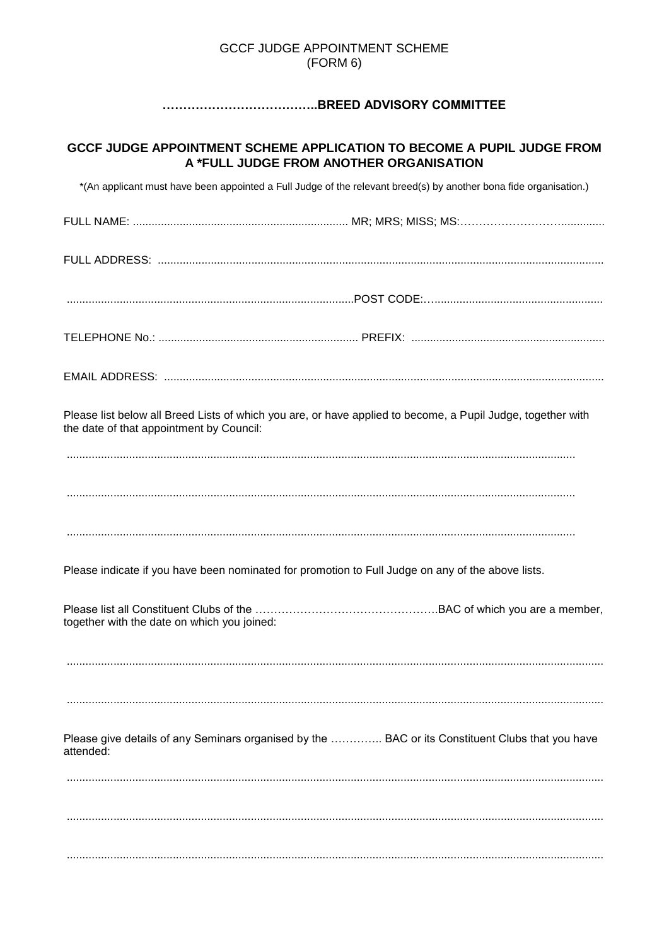### **GCCF JUDGE APPOINTMENT SCHEME** (FORM 6)

# 

# GCCF JUDGE APPOINTMENT SCHEME APPLICATION TO BECOME A PUPIL JUDGE FROM A \*FULL JUDGE FROM ANOTHER ORGANISATION

\*(An applicant must have been appointed a Full Judge of the relevant breed(s) by another bona fide organisation.)

| Please list below all Breed Lists of which you are, or have applied to become, a Pupil Judge, together with<br>the date of that appointment by Council: |  |
|---------------------------------------------------------------------------------------------------------------------------------------------------------|--|
|                                                                                                                                                         |  |
|                                                                                                                                                         |  |
|                                                                                                                                                         |  |
| Please indicate if you have been nominated for promotion to Full Judge on any of the above lists.                                                       |  |
| together with the date on which you joined:                                                                                                             |  |
|                                                                                                                                                         |  |
|                                                                                                                                                         |  |
| Please give details of any Seminars organised by the  BAC or its Constituent Clubs that you have<br>attended:                                           |  |
|                                                                                                                                                         |  |
|                                                                                                                                                         |  |
|                                                                                                                                                         |  |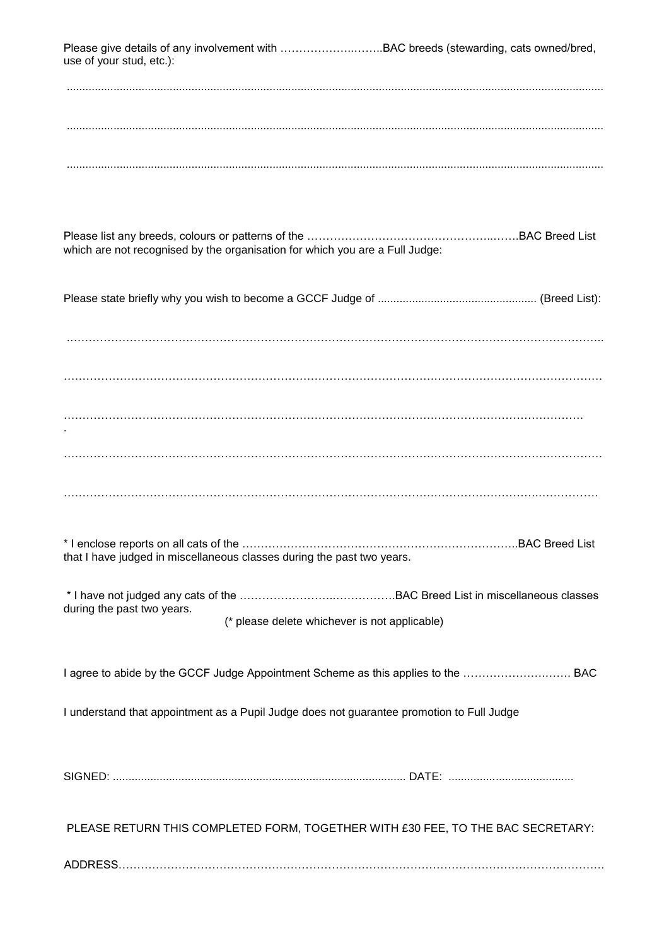Please give details of any involvement with ...............................BAC breeds (stewarding, cats owned/bred, use of your stud, etc.):

............................................................................................................................................................................

| which are not recognised by the organisation for which you are a Full Judge: |  |
|------------------------------------------------------------------------------|--|

Please state briefly why you wish to become a GCCF Judge of ................................................... (Breed List):

.……………………………………………………………………………………………………………………………..

………………………………………………………………………………………………………………………………

…………………………………………………………………………………………………………………………. .

………………………………………………………………………………………………………………………………

 $\mathcal{L}^{\text{max}}_{\text{max}}$ 

\* I enclose reports on all cats of the ………………………………………………………………..BAC Breed List that I have judged in miscellaneous classes during the past two years.

\* I have not judged any cats of the ……………………..…………….BAC Breed List in miscellaneous classes during the past two years. (\* please delete whichever is not applicable)

I agree to abide by the GCCF Judge Appointment Scheme as this applies to the ………………….……. BAC

I understand that appointment as a Pupil Judge does not guarantee promotion to Full Judge

SIGNED: .............................................................................................. DATE: ........................................

PLEASE RETURN THIS COMPLETED FORM, TOGETHER WITH £30 FEE, TO THE BAC SECRETARY:

ADDRESS………………………………………………………………………………………………………………….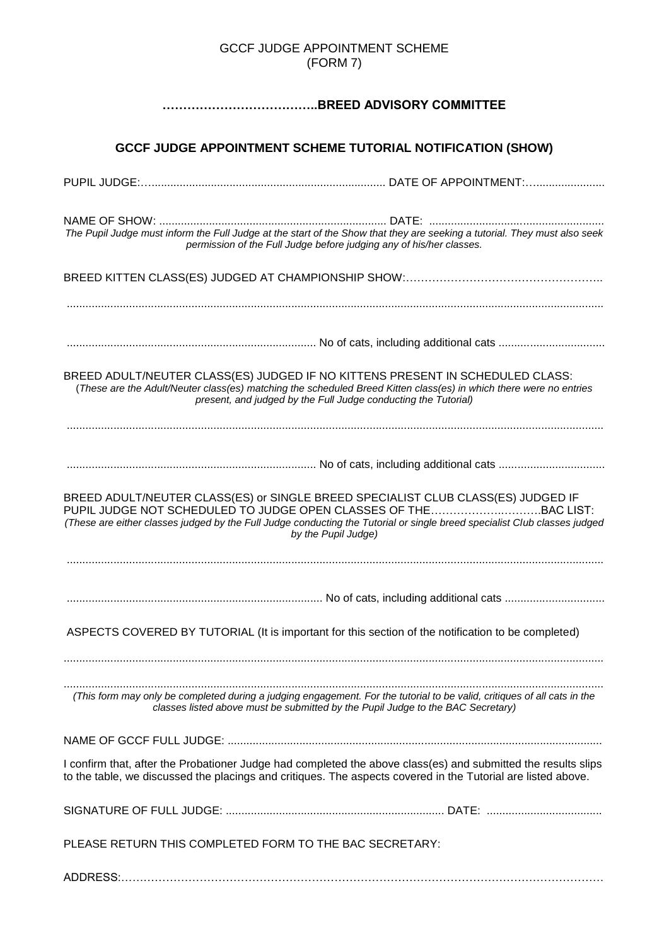#### GCCF JUDGE APPOINTMENT SCHEME (FORM 7)

# **………………………………..BREED ADVISORY COMMITTEE**

# **GCCF JUDGE APPOINTMENT SCHEME TUTORIAL NOTIFICATION (SHOW)**

|                                                                                  | The Pupil Judge must inform the Full Judge at the start of the Show that they are seeking a tutorial. They must also seek<br>permission of the Full Judge before judging any of his/her classes.            |
|----------------------------------------------------------------------------------|-------------------------------------------------------------------------------------------------------------------------------------------------------------------------------------------------------------|
|                                                                                  |                                                                                                                                                                                                             |
|                                                                                  |                                                                                                                                                                                                             |
|                                                                                  |                                                                                                                                                                                                             |
|                                                                                  |                                                                                                                                                                                                             |
| BREED ADULT/NEUTER CLASS(ES) JUDGED IF NO KITTENS PRESENT IN SCHEDULED CLASS:    | (These are the Adult/Neuter class(es) matching the scheduled Breed Kitten class(es) in which there were no entries<br>present, and judged by the Full Judge conducting the Tutorial)                        |
|                                                                                  |                                                                                                                                                                                                             |
|                                                                                  |                                                                                                                                                                                                             |
|                                                                                  |                                                                                                                                                                                                             |
| BREED ADULT/NEUTER CLASS(ES) or SINGLE BREED SPECIALIST CLUB CLASS(ES) JUDGED IF | PUPIL JUDGE NOT SCHEDULED TO JUDGE OPEN CLASSES OF THEBAC LIST:<br>(These are either classes judged by the Full Judge conducting the Tutorial or single breed specialist Club classes judged                |
|                                                                                  | by the Pupil Judge)                                                                                                                                                                                         |
|                                                                                  |                                                                                                                                                                                                             |
|                                                                                  |                                                                                                                                                                                                             |
|                                                                                  |                                                                                                                                                                                                             |
|                                                                                  | ASPECTS COVERED BY TUTORIAL (It is important for this section of the notification to be completed)                                                                                                          |
|                                                                                  |                                                                                                                                                                                                             |
|                                                                                  | (This form may only be completed during a judging engagement. For the tutorial to be valid, critiques of all cats in the<br>classes listed above must be submitted by the Pupil Judge to the BAC Secretary) |
|                                                                                  |                                                                                                                                                                                                             |
|                                                                                  | I confirm that, after the Probationer Judge had completed the above class(es) and submitted the results slips                                                                                               |
|                                                                                  | to the table, we discussed the placings and critiques. The aspects covered in the Tutorial are listed above.                                                                                                |
|                                                                                  |                                                                                                                                                                                                             |
| PLEASE RETURN THIS COMPLETED FORM TO THE BAC SECRETARY:                          |                                                                                                                                                                                                             |
|                                                                                  |                                                                                                                                                                                                             |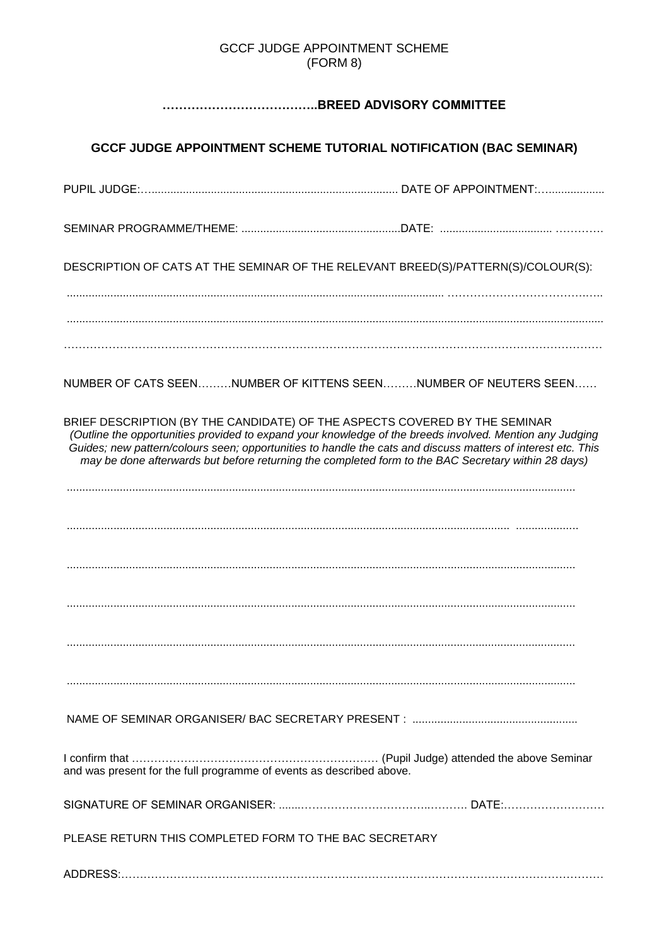### GCCF JUDGE APPOINTMENT SCHEME (FORM 8)

# **………………………………..BREED ADVISORY COMMITTEE**

# **GCCF JUDGE APPOINTMENT SCHEME TUTORIAL NOTIFICATION (BAC SEMINAR)**

PUPIL JUDGE:…............................................................................... DATE OF APPOINTMENT:…..................

SEMINAR PROGRAMME/THEME: ...................................................DATE: .................................... ………….

DESCRIPTION OF CATS AT THE SEMINAR OF THE RELEVANT BREED(S)/PATTERN(S)/COLOUR(S):

......................................................................................................................... ……………………………….…..

………………………………………………………………………………………………………………………………

NUMBER OF CATS SEEN………NUMBER OF KITTENS SEEN………NUMBER OF NEUTERS SEEN……

BRIEF DESCRIPTION (BY THE CANDIDATE) OF THE ASPECTS COVERED BY THE SEMINAR *(Outline the opportunities provided to expand your knowledge of the breeds involved. Mention any Judging Guides; new pattern/colours seen; opportunities to handle the cats and discuss matters of interest etc. This may be done afterwards but before returning the completed form to the BAC Secretary within 28 days)*

.............................................................................................................................................. ....................

...................................................................................................................................................................

...................................................................................................................................................................

...................................................................................................................................................................

...................................................................................................................................................................

...................................................................................................................................................................

NAME OF SEMINAR ORGANISER/ BAC SECRETARY PRESENT : .....................................................

I confirm that ………………………………………………………… (Pupil Judge) attended the above Seminar and was present for the full programme of events as described above.

SIGNATURE OF SEMINAR ORGANISER: .......……………………………..………. DATE:………………………

PLEASE RETURN THIS COMPLETED FORM TO THE BAC SECRETARY

ADDRESS:…………………………………………………………………………………………………………………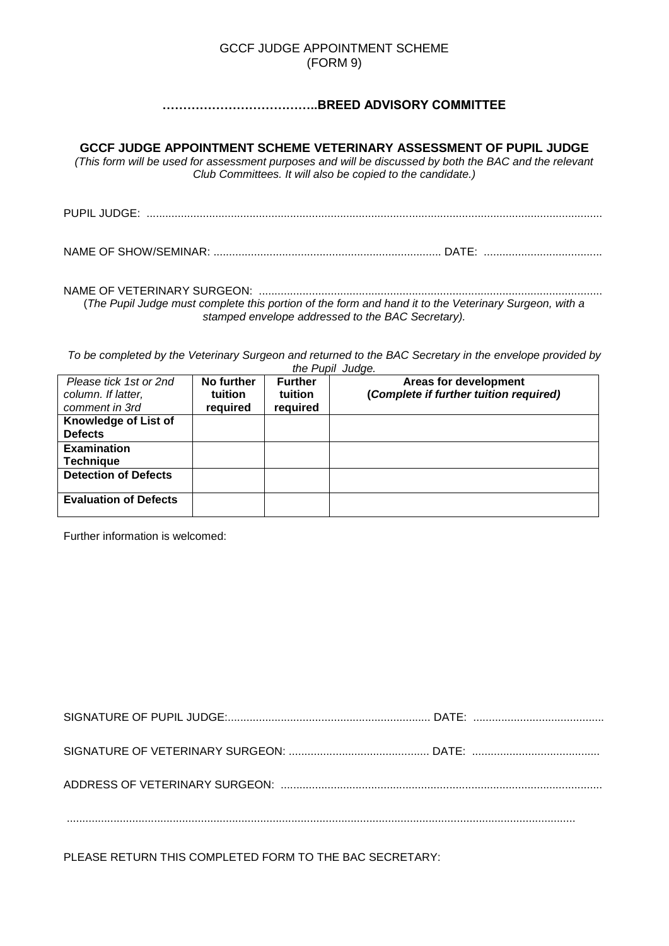#### GCCF JUDGE APPOINTMENT SCHEME (FORM 9)

# **………………………………..BREED ADVISORY COMMITTEE**

**GCCF JUDGE APPOINTMENT SCHEME VETERINARY ASSESSMENT OF PUPIL JUDGE** 

*(This form will be used for assessment purposes and will be discussed by both the BAC and the relevant Club Committees. It will also be copied to the candidate.)*

PUPIL JUDGE: ..................................................................................................................................................

NAME OF SHOW/SEMINAR: ......................................................................... DATE: ......................................

NAME OF VETERINARY SURGEON: .............................................................................................................. (*The Pupil Judge must complete this portion of the form and hand it to the Veterinary Surgeon, with a stamped envelope addressed to the BAC Secretary).*

*To be completed by the Veterinary Surgeon and returned to the BAC Secretary in the envelope provided by the Pupil Judge.*

| Please tick 1st or 2nd       | No further     | <b>Further</b> | Areas for development                  |
|------------------------------|----------------|----------------|----------------------------------------|
| column. If latter,           | <b>tuition</b> | tuition        | (Complete if further tuition required) |
| comment in 3rd               | required       | required       |                                        |
| Knowledge of List of         |                |                |                                        |
| <b>Defects</b>               |                |                |                                        |
| <b>Examination</b>           |                |                |                                        |
| <b>Technique</b>             |                |                |                                        |
| <b>Detection of Defects</b>  |                |                |                                        |
| <b>Evaluation of Defects</b> |                |                |                                        |

Further information is welcomed:

PLEASE RETURN THIS COMPLETED FORM TO THE BAC SECRETARY: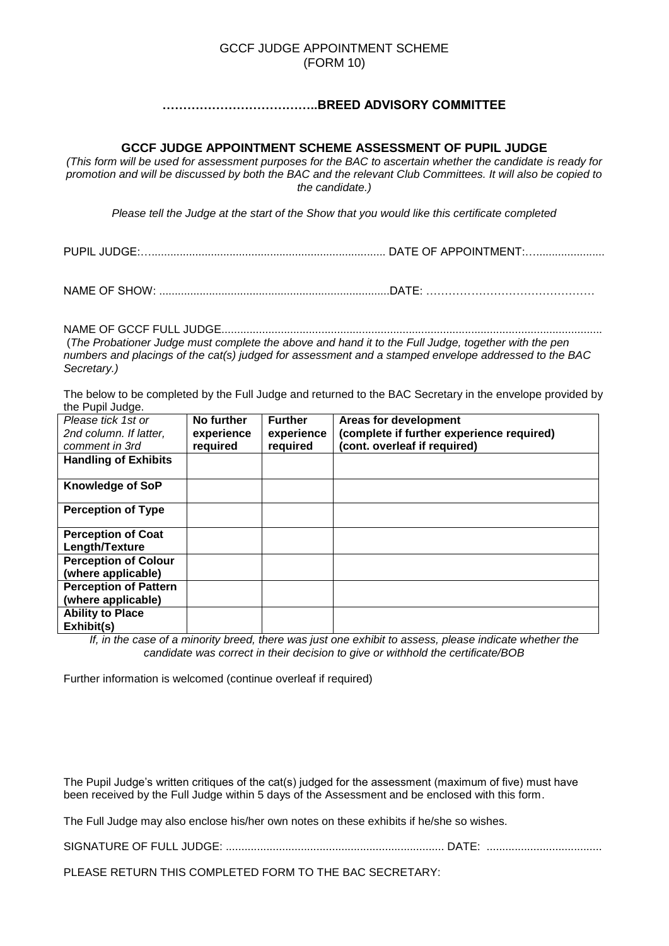#### GCCF JUDGE APPOINTMENT SCHEME (FORM 10)

### **………………………………..BREED ADVISORY COMMITTEE**

#### **GCCF JUDGE APPOINTMENT SCHEME ASSESSMENT OF PUPIL JUDGE**

*(This form will be used for assessment purposes for the BAC to ascertain whether the candidate is ready for promotion and will be discussed by both the BAC and the relevant Club Committees. It will also be copied to the candidate.)*

*Please tell the Judge at the start of the Show that you would like this certificate completed*

PUPIL JUDGE:…........................................................................... DATE OF APPOINTMENT:…......................

NAME OF SHOW: ..........................................................................DATE: ………………………………………

NAME OF GCCF FULL JUDGE.......................................................................................................................... (*The Probationer Judge must complete the above and hand it to the Full Judge, together with the pen numbers and placings of the cat(s) judged for assessment and a stamped envelope addressed to the BAC Secretary.)*

The below to be completed by the Full Judge and returned to the BAC Secretary in the envelope provided by the Pupil Judge.

| Please tick 1st or           | No further | <b>Further</b> | Areas for development                     |
|------------------------------|------------|----------------|-------------------------------------------|
| 2nd column. If latter,       | experience | experience     | (complete if further experience required) |
| comment in 3rd               | required   | required       | (cont. overleaf if required)              |
| <b>Handling of Exhibits</b>  |            |                |                                           |
|                              |            |                |                                           |
| Knowledge of SoP             |            |                |                                           |
| <b>Perception of Type</b>    |            |                |                                           |
| <b>Perception of Coat</b>    |            |                |                                           |
| Length/Texture               |            |                |                                           |
| <b>Perception of Colour</b>  |            |                |                                           |
| (where applicable)           |            |                |                                           |
| <b>Perception of Pattern</b> |            |                |                                           |
| (where applicable)           |            |                |                                           |
| <b>Ability to Place</b>      |            |                |                                           |
| Exhibit(s)                   |            |                |                                           |

*If, in the case of a minority breed, there was just one exhibit to assess, please indicate whether the candidate was correct in their decision to give or withhold the certificate/BOB*

Further information is welcomed (continue overleaf if required)

The Pupil Judge's written critiques of the cat(s) judged for the assessment (maximum of five) must have been received by the Full Judge within 5 days of the Assessment and be enclosed with this form.

The Full Judge may also enclose his/her own notes on these exhibits if he/she so wishes.

SIGNATURE OF FULL JUDGE: ...................................................................... DATE: .....................................

PLEASE RETURN THIS COMPLETED FORM TO THE BAC SECRETARY: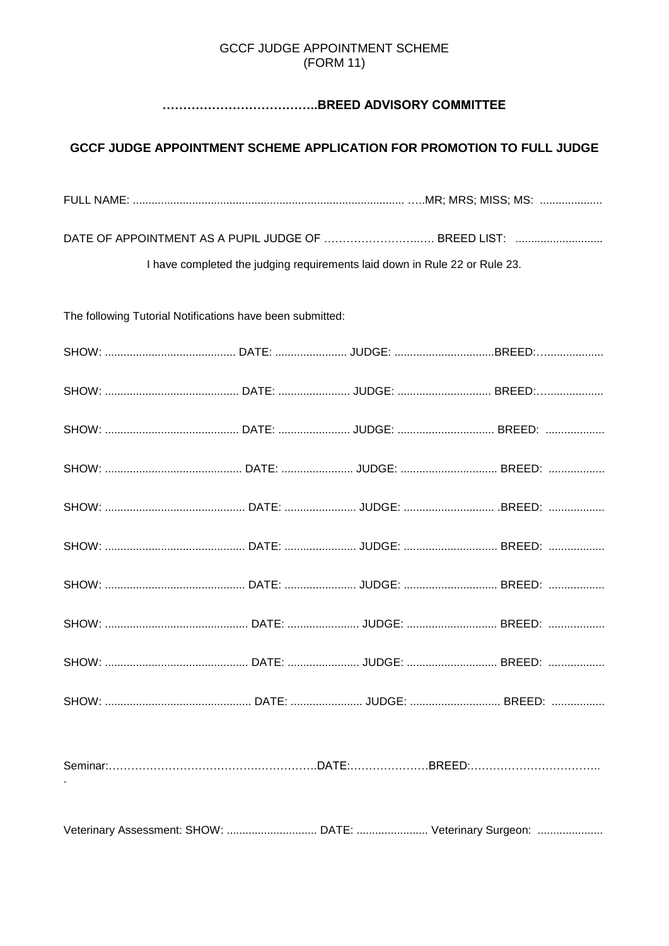# **GCCF JUDGE APPOINTMENT SCHEME** (FORM 11)

# 

# GCCF JUDGE APPOINTMENT SCHEME APPLICATION FOR PROMOTION TO FULL JUDGE

DATE OF APPOINTMENT AS A PUPIL JUDGE OF ............................... BREED LIST: ..........................

I have completed the judging requirements laid down in Rule 22 or Rule 23.

The following Tutorial Notifications have been submitted:

| Veterinary Assessment: SHOW:  DATE:  Veterinary Surgeon: |  |  |
|----------------------------------------------------------|--|--|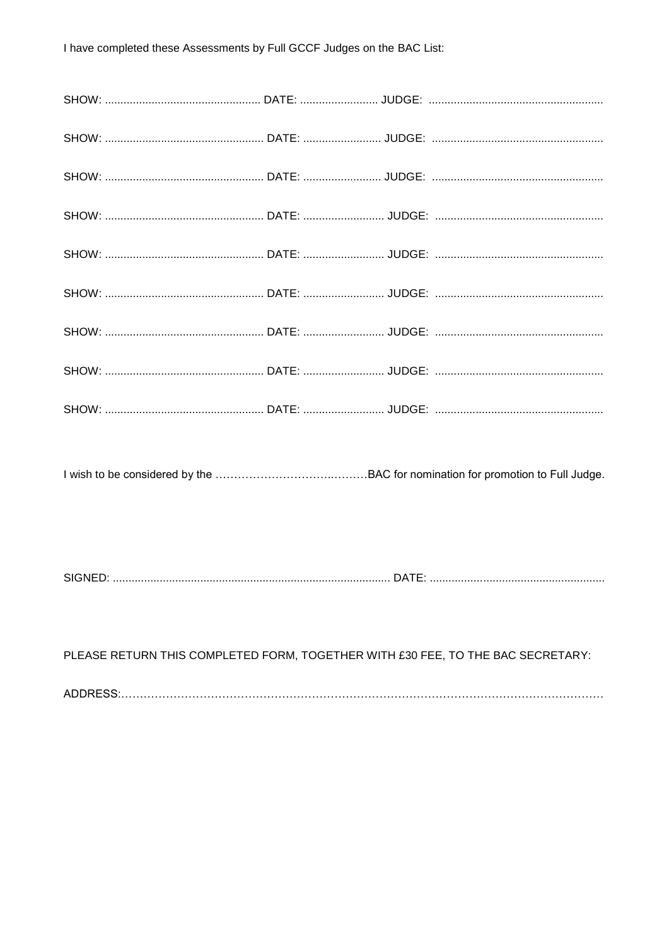| PLEASE RETURN THIS COMPLETED FORM, TOGETHER WITH £30 FEE, TO THE BAC SECRETARY: |  |  |
|---------------------------------------------------------------------------------|--|--|
|                                                                                 |  |  |